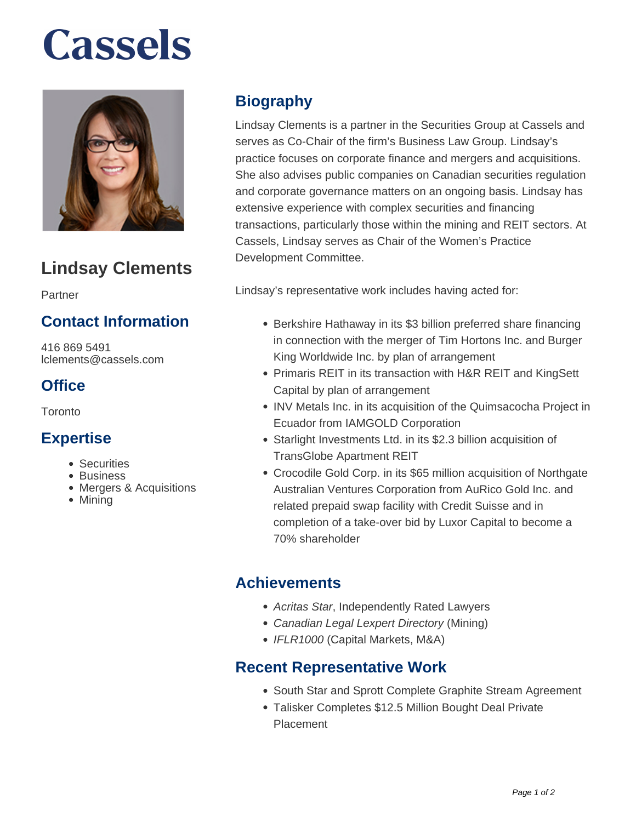# **Cassels**



### **Lindsay Clements**

Partner

#### **Contact Information**

416 869 5491 lclements@cassels.com

#### **Office**

Toronto

#### **Expertise**

- Securities
- Business
- Mergers & Acquisitions
- Mining

#### **Biography**

Lindsay Clements is a partner in the Securities Group at Cassels and serves as Co-Chair of the firm's Business Law Group. Lindsay's practice focuses on corporate finance and mergers and acquisitions. She also advises public companies on Canadian securities regulation and corporate governance matters on an ongoing basis. Lindsay has extensive experience with complex securities and financing transactions, particularly those within the mining and REIT sectors. At Cassels, Lindsay serves as Chair of the Women's Practice Development Committee.

Lindsay's representative work includes having acted for:

- Berkshire Hathaway in its \$3 billion preferred share financing in connection with the merger of Tim Hortons Inc. and Burger King Worldwide Inc. by plan of arrangement
- Primaris REIT in its transaction with H&R REIT and KingSett Capital by plan of arrangement
- INV Metals Inc. in its acquisition of the Quimsacocha Project in Ecuador from IAMGOLD Corporation
- Starlight Investments Ltd. in its \$2.3 billion acquisition of TransGlobe Apartment REIT
- Crocodile Gold Corp. in its \$65 million acquisition of Northgate Australian Ventures Corporation from AuRico Gold Inc. and related prepaid swap facility with Credit Suisse and in completion of a take-over bid by Luxor Capital to become a 70% shareholder

#### **Achievements**

- Acritas Star, Independently Rated Lawyers
- Canadian Legal Lexpert Directory (Mining)
- IFLR1000 (Capital Markets, M&A)

#### **Recent Representative Work**

- South Star and Sprott Complete Graphite Stream Agreement
- Talisker Completes \$12.5 Million Bought Deal Private Placement